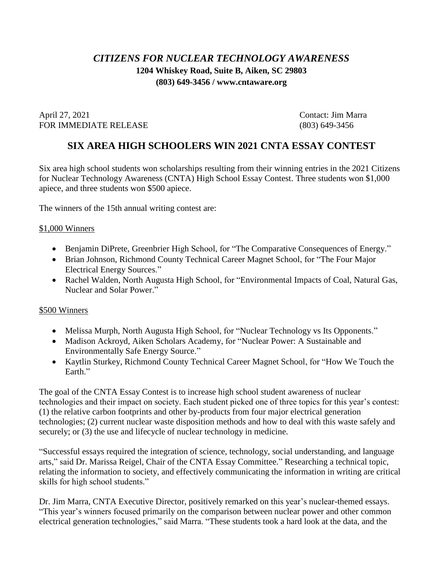## *CITIZENS FOR NUCLEAR TECHNOLOGY AWARENESS* **1204 Whiskey Road, Suite B, Aiken, SC 29803 (803) 649-3456 / www.cntaware.org**

April 27, 2021 Contact: Jim Marra FOR IMMEDIATE RELEASE (803) 649-3456

## **SIX AREA HIGH SCHOOLERS WIN 2021 CNTA ESSAY CONTEST**

Six area high school students won scholarships resulting from their winning entries in the 2021 Citizens for Nuclear Technology Awareness (CNTA) High School Essay Contest. Three students won \$1,000 apiece, and three students won \$500 apiece.

The winners of the 15th annual writing contest are:

## \$1,000 Winners

- Benjamin DiPrete, Greenbrier High School, for "The Comparative Consequences of Energy."
- Brian Johnson, Richmond County Technical Career Magnet School, for "The Four Major Electrical Energy Sources."
- Rachel Walden, North Augusta High School, for "Environmental Impacts of Coal, Natural Gas, Nuclear and Solar Power."

## \$500 Winners

- Melissa Murph, North Augusta High School, for "Nuclear Technology vs Its Opponents."
- Madison Ackroyd, Aiken Scholars Academy, for "Nuclear Power: A Sustainable and Environmentally Safe Energy Source."
- Kaytlin Sturkey, Richmond County Technical Career Magnet School, for "How We Touch the Earth."

The goal of the CNTA Essay Contest is to increase high school student awareness of nuclear technologies and their impact on society. Each student picked one of three topics for this year's contest: (1) the relative carbon footprints and other by-products from four major electrical generation technologies; (2) current nuclear waste disposition methods and how to deal with this waste safely and securely; or  $(3)$  the use and lifecycle of nuclear technology in medicine.

"Successful essays required the integration of science, technology, social understanding, and language arts," said Dr. Marissa Reigel, Chair of the CNTA Essay Committee." Researching a technical topic, relating the information to society, and effectively communicating the information in writing are critical skills for high school students."

Dr. Jim Marra, CNTA Executive Director, positively remarked on this year's nuclear-themed essays. "This year's winners focused primarily on the comparison between nuclear power and other common electrical generation technologies," said Marra. "These students took a hard look at the data, and the